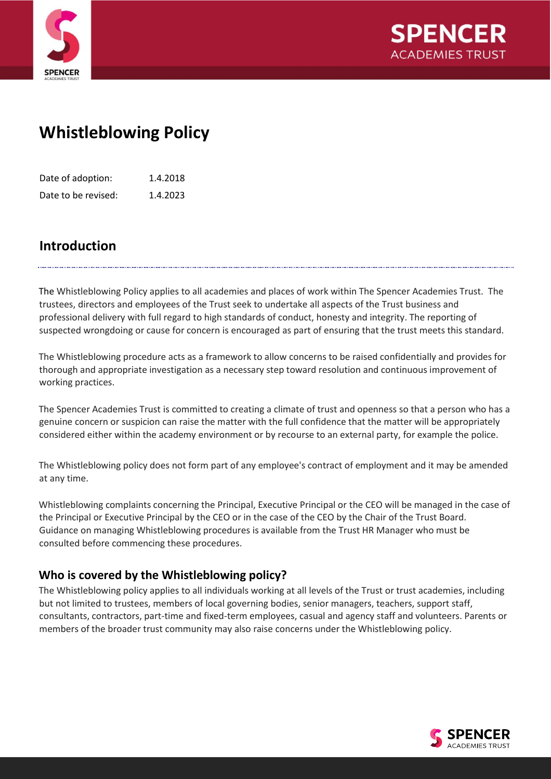



# **Whistleblowing Policy**

| Date of adoption:   | 1.4.2018 |
|---------------------|----------|
| Date to be revised: | 1.4.2023 |

# **Introduction**

The Whistleblowing Policy applies to all academies and places of work within The Spencer Academies Trust. The trustees, directors and employees of the Trust seek to undertake all aspects of the Trust business and professional delivery with full regard to high standards of conduct, honesty and integrity. The reporting of suspected wrongdoing or cause for concern is encouraged as part of ensuring that the trust meets this standard.

The Whistleblowing procedure acts as a framework to allow concerns to be raised confidentially and provides for thorough and appropriate investigation as a necessary step toward resolution and continuous improvement of working practices.

The Spencer Academies Trust is committed to creating a climate of trust and openness so that a person who has a genuine concern or suspicion can raise the matter with the full confidence that the matter will be appropriately considered either within the academy environment or by recourse to an external party, for example the police.

The Whistleblowing policy does not form part of any employee's contract of employment and it may be amended at any time.

Whistleblowing complaints concerning the Principal, Executive Principal or the CEO will be managed in the case of the Principal or Executive Principal by the CEO or in the case of the CEO by the Chair of the Trust Board. Guidance on managing Whistleblowing procedures is available from the Trust HR Manager who must be consulted before commencing these procedures.

# **Who is covered by the Whistleblowing policy?**

The Whistleblowing policy applies to all individuals working at all levels of the Trust or trust academies, including but not limited to trustees, members of local governing bodies, senior managers, teachers, support staff, consultants, contractors, part-time and fixed-term employees, casual and agency staff and volunteers. Parents or members of the broader trust community may also raise concerns under the Whistleblowing policy.

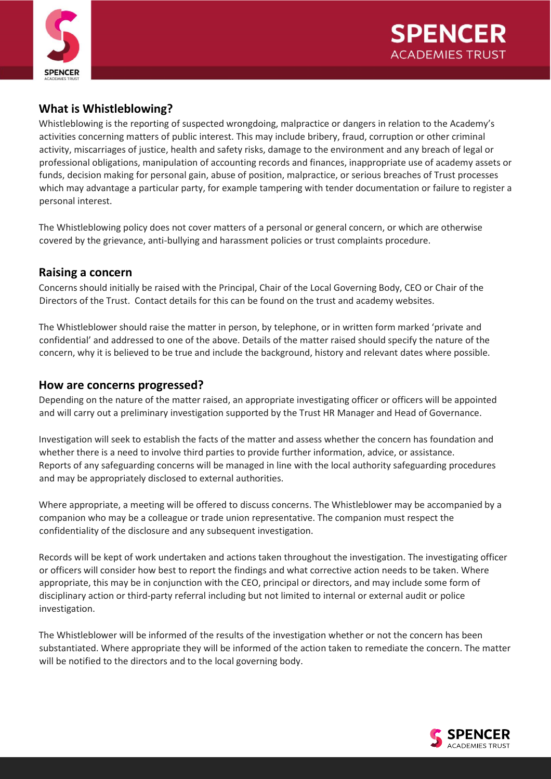



# **What is Whistleblowing?**

Whistleblowing is the reporting of suspected wrongdoing, malpractice or dangers in relation to the Academy's activities concerning matters of public interest. This may include bribery, fraud, corruption or other criminal activity, miscarriages of justice, health and safety risks, damage to the environment and any breach of legal or professional obligations, manipulation of accounting records and finances, inappropriate use of academy assets or funds, decision making for personal gain, abuse of position, malpractice, or serious breaches of Trust processes which may advantage a particular party, for example tampering with tender documentation or failure to register a personal interest.

The Whistleblowing policy does not cover matters of a personal or general concern, or which are otherwise covered by the grievance, anti-bullying and harassment policies or trust complaints procedure.

#### **Raising a concern**

Concerns should initially be raised with the Principal, Chair of the Local Governing Body, CEO or Chair of the Directors of the Trust. Contact details for this can be found on the trust and academy websites.

The Whistleblower should raise the matter in person, by telephone, or in written form marked 'private and confidential' and addressed to one of the above. Details of the matter raised should specify the nature of the concern, why it is believed to be true and include the background, history and relevant dates where possible.

#### **How are concerns progressed?**

Depending on the nature of the matter raised, an appropriate investigating officer or officers will be appointed and will carry out a preliminary investigation supported by the Trust HR Manager and Head of Governance.

Investigation will seek to establish the facts of the matter and assess whether the concern has foundation and whether there is a need to involve third parties to provide further information, advice, or assistance. Reports of any safeguarding concerns will be managed in line with the local authority safeguarding procedures and may be appropriately disclosed to external authorities.

Where appropriate, a meeting will be offered to discuss concerns. The Whistleblower may be accompanied by a companion who may be a colleague or trade union representative. The companion must respect the confidentiality of the disclosure and any subsequent investigation.

Records will be kept of work undertaken and actions taken throughout the investigation. The investigating officer or officers will consider how best to report the findings and what corrective action needs to be taken. Where appropriate, this may be in conjunction with the CEO, principal or directors, and may include some form of disciplinary action or third-party referral including but not limited to internal or external audit or police investigation.

The Whistleblower will be informed of the results of the investigation whether or not the concern has been substantiated. Where appropriate they will be informed of the action taken to remediate the concern. The matter will be notified to the directors and to the local governing body.